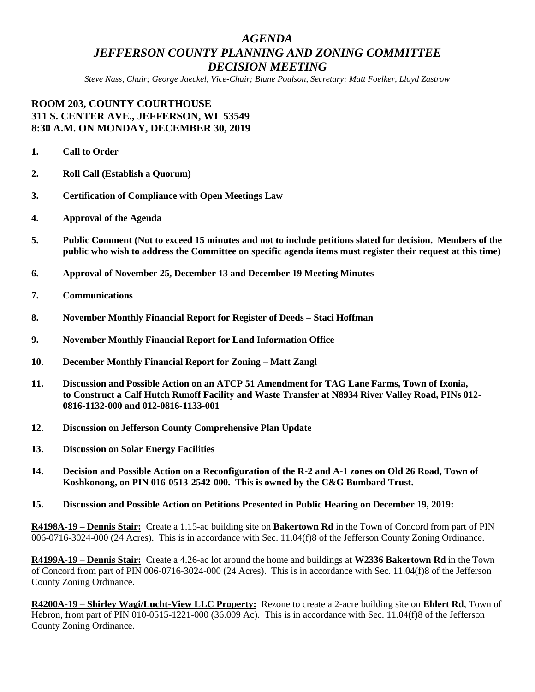## *AGENDA JEFFERSON COUNTY PLANNING AND ZONING COMMITTEE DECISION MEETING*

*Steve Nass, Chair; George Jaeckel, Vice-Chair; Blane Poulson, Secretary; Matt Foelker, Lloyd Zastrow*

## **ROOM 203, COUNTY COURTHOUSE 311 S. CENTER AVE., JEFFERSON, WI 53549 8:30 A.M. ON MONDAY, DECEMBER 30, 2019**

- **1. Call to Order**
- **2. Roll Call (Establish a Quorum)**
- **3. Certification of Compliance with Open Meetings Law**
- **4. Approval of the Agenda**
- **5. Public Comment (Not to exceed 15 minutes and not to include petitions slated for decision. Members of the public who wish to address the Committee on specific agenda items must register their request at this time)**
- **6. Approval of November 25, December 13 and December 19 Meeting Minutes**
- **7. Communications**
- **8. November Monthly Financial Report for Register of Deeds – Staci Hoffman**
- **9. November Monthly Financial Report for Land Information Office**
- **10. December Monthly Financial Report for Zoning – Matt Zangl**
- **11. Discussion and Possible Action on an ATCP 51 Amendment for TAG Lane Farms, Town of Ixonia, to Construct a Calf Hutch Runoff Facility and Waste Transfer at N8934 River Valley Road, PINs 012- 0816-1132-000 and 012-0816-1133-001**
- **12. Discussion on Jefferson County Comprehensive Plan Update**
- **13. Discussion on Solar Energy Facilities**
- **14. Decision and Possible Action on a Reconfiguration of the R-2 and A-1 zones on Old 26 Road, Town of Koshkonong, on PIN 016-0513-2542-000. This is owned by the C&G Bumbard Trust.**
- **15. Discussion and Possible Action on Petitions Presented in Public Hearing on December 19, 2019:**

**R4198A-19 – Dennis Stair:** Create a 1.15-ac building site on **Bakertown Rd** in the Town of Concord from part of PIN 006-0716-3024-000 (24 Acres). This is in accordance with Sec. 11.04(f)8 of the Jefferson County Zoning Ordinance.

**R4199A-19 – Dennis Stair:** Create a 4.26-ac lot around the home and buildings at **W2336 Bakertown Rd** in the Town of Concord from part of PIN 006-0716-3024-000 (24 Acres). This is in accordance with Sec. 11.04(f)8 of the Jefferson County Zoning Ordinance.

**R4200A-19 – Shirley Wagi/Lucht-View LLC Property:** Rezone to create a 2-acre building site on **Ehlert Rd**, Town of Hebron, from part of PIN 010-0515-1221-000 (36.009 Ac). This is in accordance with Sec. 11.04(f)8 of the Jefferson County Zoning Ordinance.